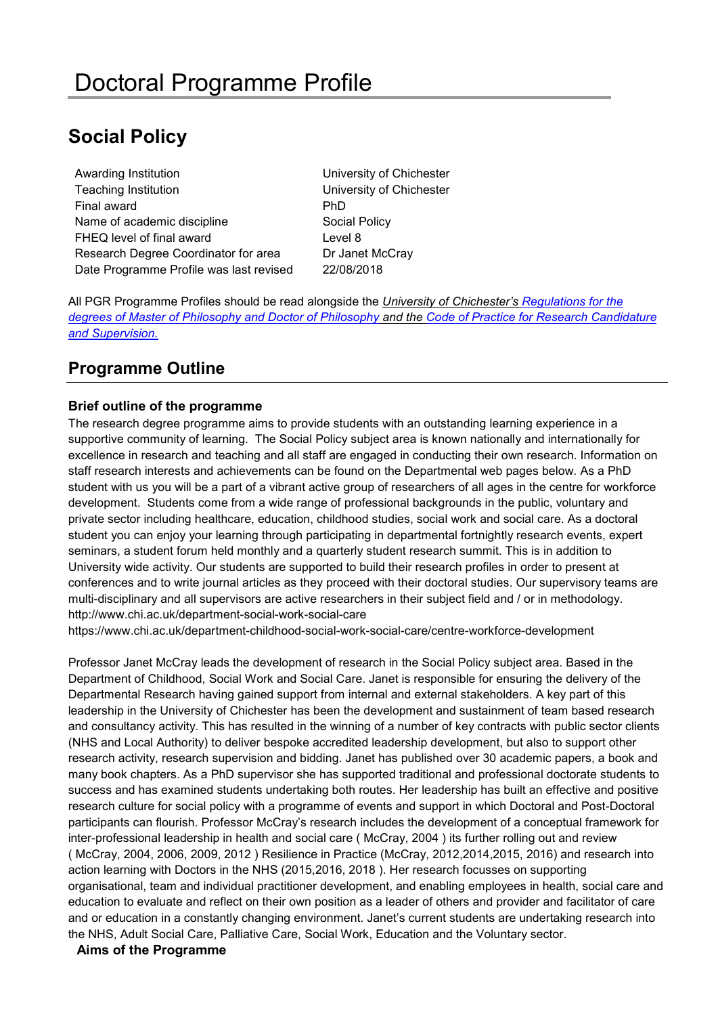# **Social Policy**

Awarding Institution **Nation** University of Chichester Teaching Institution University of Chichester Final award **PhD** Name of academic discipline Social Policy FHEQ level of final award **Level 8** Research Degree Coordinator for area Dr Janet McCray Date Programme Profile was last revised 22/08/2018

All PGR Programme Profiles should be read alongside the *University of Chichester's [Regulations for the](http://www.chi.ac.uk/%3Cfront%3E/about-us/how-we-work/policies/academic-policies)  [degrees of Master of Philosophy and Doctor of Philosophy](http://www.chi.ac.uk/%3Cfront%3E/about-us/how-we-work/policies/academic-policies) and the [Code of Practice for Research Candidature](https://www.chi.ac.uk/about-us/policies-and-statements/academic-and-student-support)  [and Supervision.](https://www.chi.ac.uk/about-us/policies-and-statements/academic-and-student-support)*

## **Programme Outline**

### **Brief outline of the programme**

The research degree programme aims to provide students with an outstanding learning experience in a supportive community of learning. The Social Policy subject area is known nationally and internationally for excellence in research and teaching and all staff are engaged in conducting their own research. Information on staff research interests and achievements can be found on the Departmental web pages below. As a PhD student with us you will be a part of a vibrant active group of researchers of all ages in the centre for workforce development. Students come from a wide range of professional backgrounds in the public, voluntary and private sector including healthcare, education, childhood studies, social work and social care. As a doctoral student you can enjoy your learning through participating in departmental fortnightly research events, expert seminars, a student forum held monthly and a quarterly student research summit. This is in addition to University wide activity. Our students are supported to build their research profiles in order to present at conferences and to write journal articles as they proceed with their doctoral studies. Our supervisory teams are multi-disciplinary and all supervisors are active researchers in their subject field and / or in methodology. <http://www.chi.ac.uk/department-social-work-social-care>

https://www.chi.ac.uk/department-childhood-social-work-social-care/centre-workforce-development

Professor Janet McCray leads the development of research in the Social Policy subject area. Based in the Department of Childhood, Social Work and Social Care. Janet is responsible for ensuring the delivery of the Departmental Research having gained support from internal and external stakeholders. A key part of this leadership in the University of Chichester has been the development and sustainment of team based research and consultancy activity. This has resulted in the winning of a number of key contracts with public sector clients (NHS and Local Authority) to deliver bespoke accredited leadership development, but also to support other research activity, research supervision and bidding. Janet has published over 30 academic papers, a book and many book chapters. As a PhD supervisor she has supported traditional and professional doctorate students to success and has examined students undertaking both routes. Her leadership has built an effective and positive research culture for social policy with a programme of events and support in which Doctoral and Post-Doctoral participants can flourish. Professor McCray's research includes the development of a conceptual framework for inter-professional leadership in health and social care ( McCray, 2004 ) its further rolling out and review ( McCray, 2004, 2006, 2009, 2012 ) Resilience in Practice (McCray, 2012,2014,2015, 2016) and research into action learning with Doctors in the NHS (2015,2016, 2018 ). Her research focusses on supporting organisational, team and individual practitioner development, and enabling employees in health, social care and education to evaluate and reflect on their own position as a leader of others and provider and facilitator of care and or education in a constantly changing environment. Janet's current students are undertaking research into the NHS, Adult Social Care, Palliative Care, Social Work, Education and the Voluntary sector.

#### **Aims of the Programme**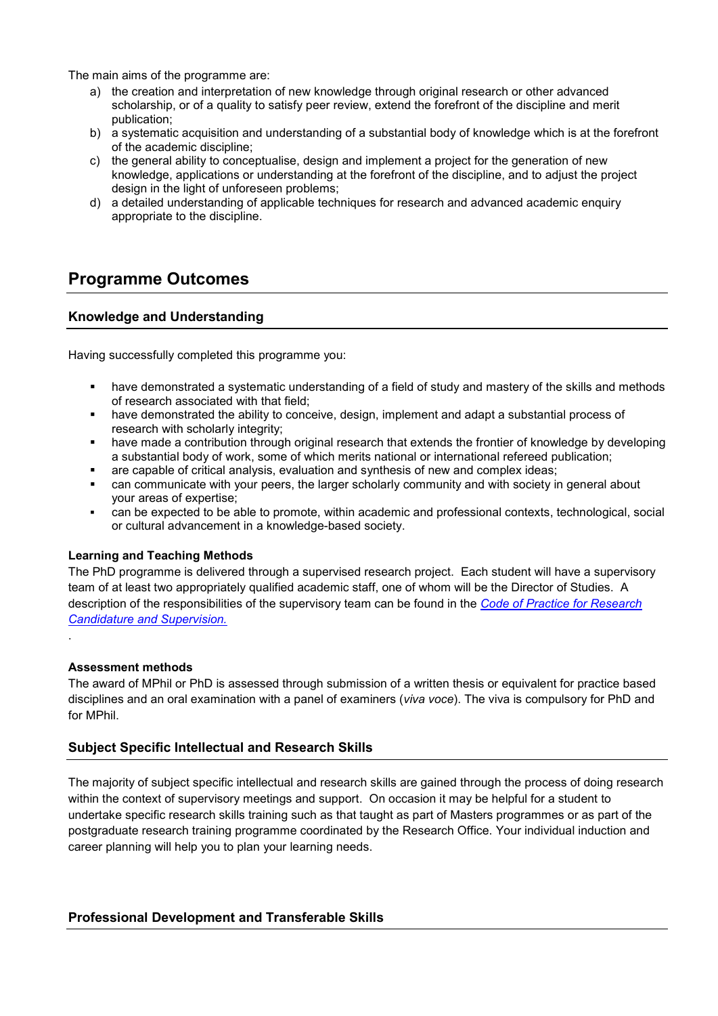The main aims of the programme are:

- a) the creation and interpretation of new knowledge through original research or other advanced scholarship, or of a quality to satisfy peer review, extend the forefront of the discipline and merit publication;
- b) a systematic acquisition and understanding of a substantial body of knowledge which is at the forefront of the academic discipline;
- c) the general ability to conceptualise, design and implement a project for the generation of new knowledge, applications or understanding at the forefront of the discipline, and to adjust the project design in the light of unforeseen problems;
- d) a detailed understanding of applicable techniques for research and advanced academic enquiry appropriate to the discipline.

## **Programme Outcomes**

#### **Knowledge and Understanding**

Having successfully completed this programme you:

- have demonstrated a systematic understanding of a field of study and mastery of the skills and methods of research associated with that field;
- have demonstrated the ability to conceive, design, implement and adapt a substantial process of research with scholarly integrity;
- have made a contribution through original research that extends the frontier of knowledge by developing a substantial body of work, some of which merits national or international refereed publication;
- are capable of critical analysis, evaluation and synthesis of new and complex ideas;
- can communicate with your peers, the larger scholarly community and with society in general about your areas of expertise;
- can be expected to be able to promote, within academic and professional contexts, technological, social or cultural advancement in a knowledge-based society.

#### **Learning and Teaching Methods**

The PhD programme is delivered through a supervised research project. Each student will have a supervisory team of at least two appropriately qualified academic staff, one of whom will be the Director of Studies. A description of the responsibilities of the supervisory team can be found in the *[Code of Practice for Research](https://www.chi.ac.uk/about-us/policies-and-statements/academic-and-student-support)  [Candidature and Supervision.](https://www.chi.ac.uk/about-us/policies-and-statements/academic-and-student-support)*

#### **Assessment methods**

.

The award of MPhil or PhD is assessed through submission of a written thesis or equivalent for practice based disciplines and an oral examination with a panel of examiners (*viva voce*). The viva is compulsory for PhD and for MPhil.

#### **Subject Specific Intellectual and Research Skills**

The majority of subject specific intellectual and research skills are gained through the process of doing research within the context of supervisory meetings and support. On occasion it may be helpful for a student to undertake specific research skills training such as that taught as part of Masters programmes or as part of the postgraduate research training programme coordinated by the Research Office. Your individual induction and career planning will help you to plan your learning needs.

**Professional Development and Transferable Skills**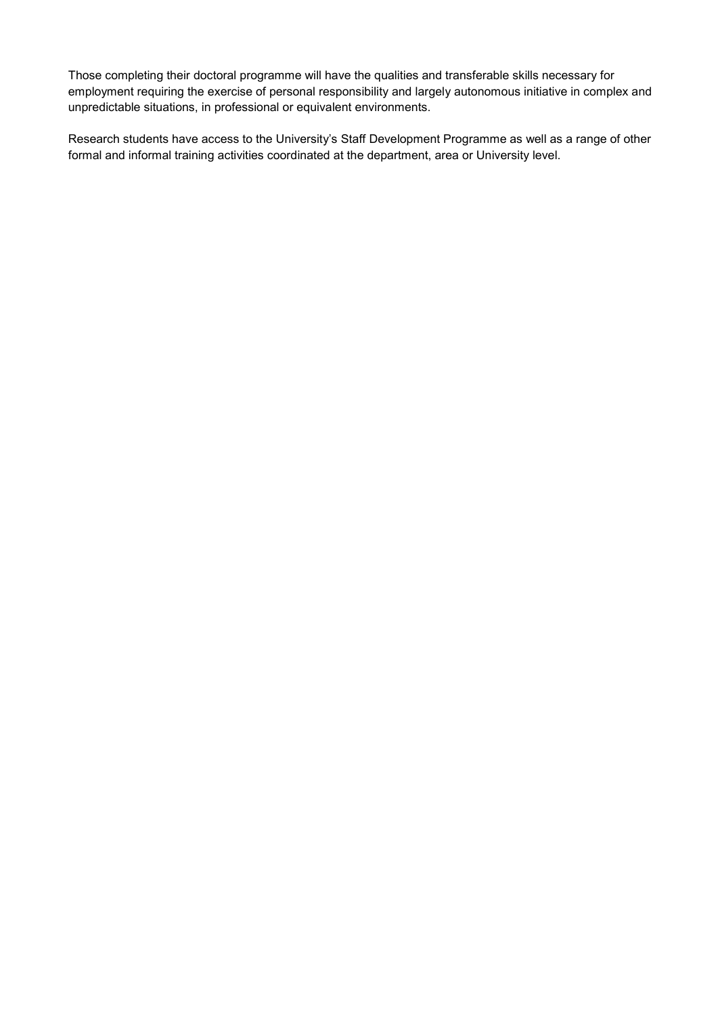Those completing their doctoral programme will have the qualities and transferable skills necessary for employment requiring the exercise of personal responsibility and largely autonomous initiative in complex and unpredictable situations, in professional or equivalent environments.

Research students have access to the University's Staff Development Programme as well as a range of other formal and informal training activities coordinated at the department, area or University level.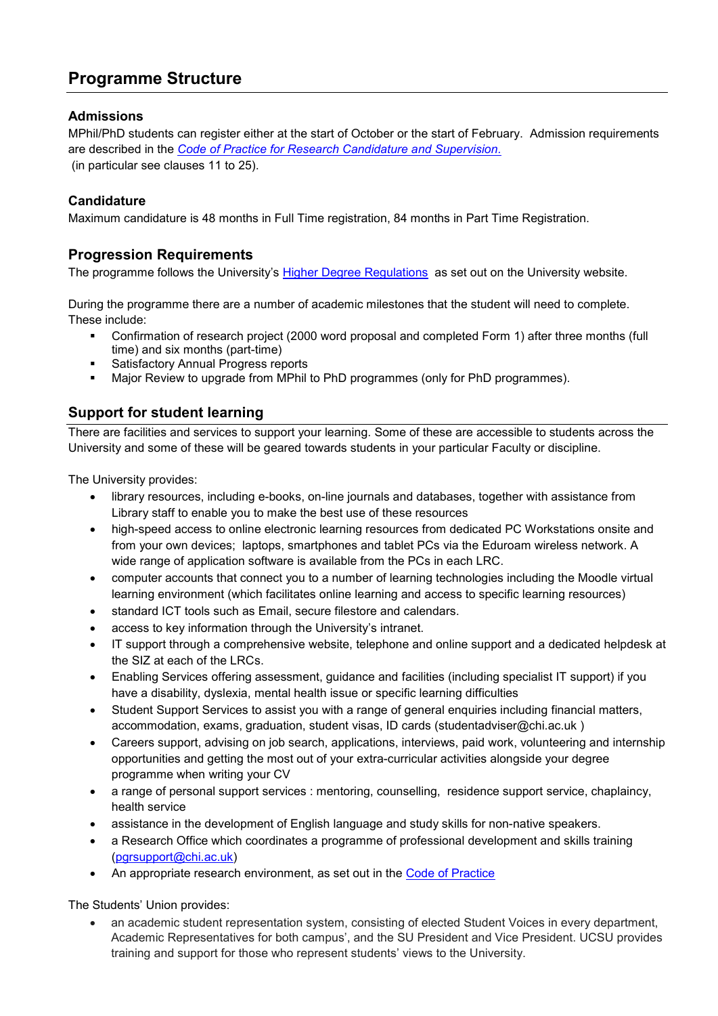## **Programme Structure**

### **Admissions**

MPhil/PhD students can register either at the start of October or the start of February. Admission requirements are described in the *[Code of Practice for Research Candidature and Supervision.](https://www.chi.ac.uk/about-us/policies-and-statements/academic-and-student-support)* (in particular see clauses 11 to 25).

### **Candidature**

Maximum candidature is 48 months in Full Time registration, 84 months in Part Time Registration.

## **Progression Requirements**

The programme follows the University's [Higher Degree Regulations](http://www.chi.ac.uk/%3Cfront%3E/about-us/how-we-work/policies/academic-policies) as set out on the University website.

During the programme there are a number of academic milestones that the student will need to complete. These include:

- Confirmation of research project (2000 word proposal and completed Form 1) after three months (full time) and six months (part-time)
- **Satisfactory Annual Progress reports**
- Major Review to upgrade from MPhil to PhD programmes (only for PhD programmes).

## **Support for student learning**

There are facilities and services to support your learning. Some of these are accessible to students across the University and some of these will be geared towards students in your particular Faculty or discipline.

The University provides:

- library resources, including e-books, on-line journals and databases, together with assistance from Library staff to enable you to make the best use of these resources
- high-speed access to online electronic learning resources from dedicated PC Workstations onsite and from your own devices; laptops, smartphones and tablet PCs via the Eduroam wireless network. A wide range of application software is available from the PCs in each LRC.
- computer accounts that connect you to a number of learning technologies including the Moodle virtual learning environment (which facilitates online learning and access to specific learning resources)
- standard ICT tools such as Email, secure filestore and calendars.
- access to key information through the University's intranet.
- IT support through a comprehensive website, telephone and online support and a dedicated helpdesk at the SIZ at each of the LRCs.
- Enabling Services offering assessment, guidance and facilities (including specialist IT support) if you have a disability, dyslexia, mental health issue or specific learning difficulties
- Student Support Services to assist you with a range of general enquiries including financial matters, accommodation, exams, graduation, student visas, ID cards (studentadviser@chi.ac.uk )
- Careers support, advising on job search, applications, interviews, paid work, volunteering and internship opportunities and getting the most out of your extra-curricular activities alongside your degree programme when writing your CV
- a range of personal support services : mentoring, counselling, residence support service, chaplaincy, health service
- assistance in the development of English language and study skills for non-native speakers.
- a Research Office which coordinates a programme of professional development and skills training [\(pgrsupport@chi.ac.uk\)](mailto:pgrsupport@chi.ac.uk)
- An appropriate research environment, as set out in the [Code of Practice](http://d3mcbia3evjswv.cloudfront.net/files/Academic%20Board%2017%20Code%20of%20Practice%20for%20Research%20Candidature.pdf?3y1HrtDLYQ0M8uLsL.65i1fF_yx9snAE)

The Students' Union provides:

• an academic student representation system, consisting of elected Student Voices in every department, Academic Representatives for both campus', and the SU President and Vice President. UCSU provides training and support for those who represent students' views to the University.